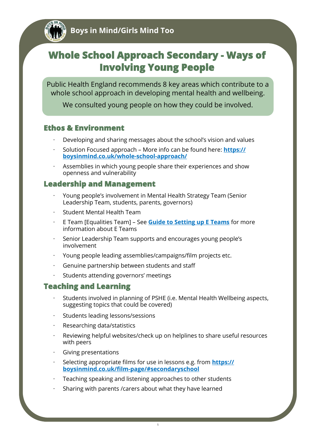# **Whole School Approach Secondary - Ways of Involving Young People**

Public Health England recommends 8 key areas which contribute to a whole school approach in developing mental health and wellbeing.

We consulted young people on how they could be involved.

# **Ethos & Environment**

- · Developing and sharing messages about the school's vision and values
- · Solution Focused approach More info can be found here: **[https://](https://boysinmind.co.uk/whole-school-approach/) [boysinmind.co.uk/whole](https://boysinmind.co.uk/whole-school-approach/)-school-approach/**
- Assemblies in which young people share their experiences and show openness and vulnerability

# **Leadership and Management**

- · Young people's involvement in Mental Health Strategy Team (Senior Leadership Team, students, parents, governors)
- Student Mental Health Team
- · E Team [Equalities Team] See **[Guide to Setting up E Teams](https://www.bathnes.gov.uk/services/your-council-and-democracy/equality-and-diversity/e-teams)** for more information about E Teams
- · Senior Leadership Team supports and encourages young people's involvement
- · Young people leading assemblies/campaigns/film projects etc.
- Genuine partnership between students and staff
- Students attending governors' meetings

# **Teaching and Learning**

- Students involved in planning of PSHE (i.e. Mental Health Wellbeing aspects, suggesting topics that could be covered)
- Students leading lessons/sessions
- Researching data/statistics
- Reviewing helpful websites/check up on helplines to share useful resources with peers
- · Giving presentations
- · Selecting appropriate films for use in lessons e.g. from **[https://](https://boysinmind.co.uk/film-page/#secondaryschool) boysinmind.co.uk/film-[page/#secondaryschool](https://boysinmind.co.uk/film-page/#secondaryschool)**
- Teaching speaking and listening approaches to other students
- Sharing with parents / carers about what they have learned